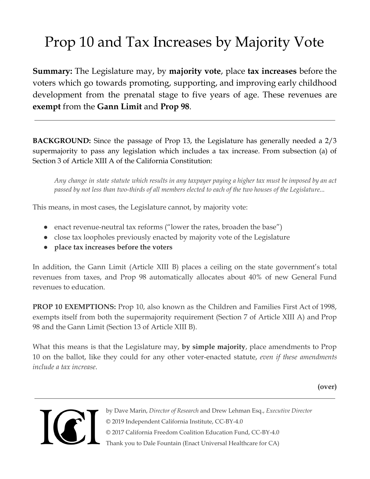## Prop 10 and Tax Increases by Majority Vote

**Summary:** The Legislature may, by **majority vote**, place **tax increases** before the voters which go towards promoting, supporting, and improving early childhood development from the prenatal stage to five years of age. These revenues are **exempt** from the **Gann Limit** and **Prop 98**.

**BACKGROUND:** Since the passage of Prop 13, the Legislature has generally needed a 2/3 supermajority to pass any legislation which includes a tax increase. From subsection (a) of Section 3 of Article XIII A of the California Constitution:

Any change in state statute which results in any taxpayer paying a higher tax must be imposed by an act passed by not less than two-thirds of all members elected to each of the two houses of the Legislature...

This means, in most cases, the Legislature cannot, by majority vote:

- enact revenue-neutral tax reforms ("lower the rates, broaden the base")
- close tax loopholes previously enacted by majority vote of the Legislature
- **● place tax increases before the voters**

In addition, the Gann Limit (Article XIII B) places a ceiling on the state government's total revenues from taxes, and Prop 98 automatically allocates about 40% of new General Fund revenues to education.

**PROP 10 EXEMPTIONS:** Prop 10, also known as the Children and Families First Act of 1998, exempts itself from both the supermajority requirement (Section 7 of Article XIII A) and Prop 98 and the Gann Limit (Section 13 of Article XIII B).

What this means is that the Legislature may, **by simple majority**, place amendments to Prop 10 on the ballot, like they could for any other voter-enacted statute, *even if these amendments include a tax increase*.

**(over)**



by Dave Marin, *Director of Research* and Drew Lehman Esq., *Executive Director ©* 2019 Independent California Institute, CC-BY-4.0 © 2017 California Freedom Coalition Education Fund, CC-BY-4.0 Thank you to Dale Fountain (Enact Universal Healthcare for CA)